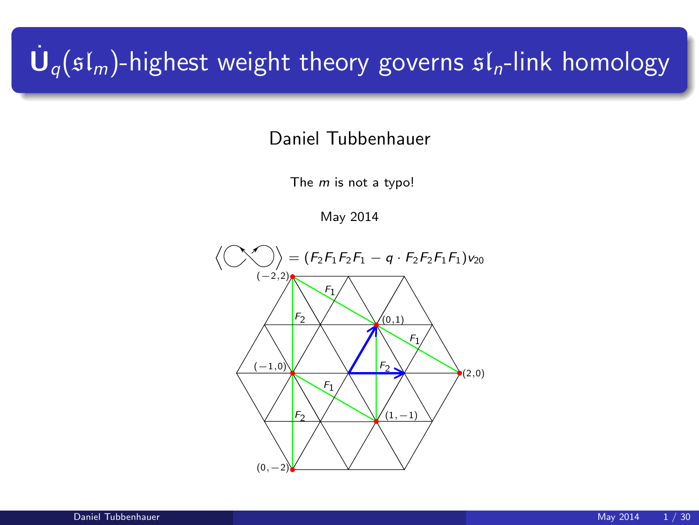# $\dot{\mathbf U}_q(\mathfrak{sl}_m)$ -highest weight theory governs  $\mathfrak{sl}_n$ -link homology

Daniel Tubbenhauer

The  $m$  is not a typo!

May 2014

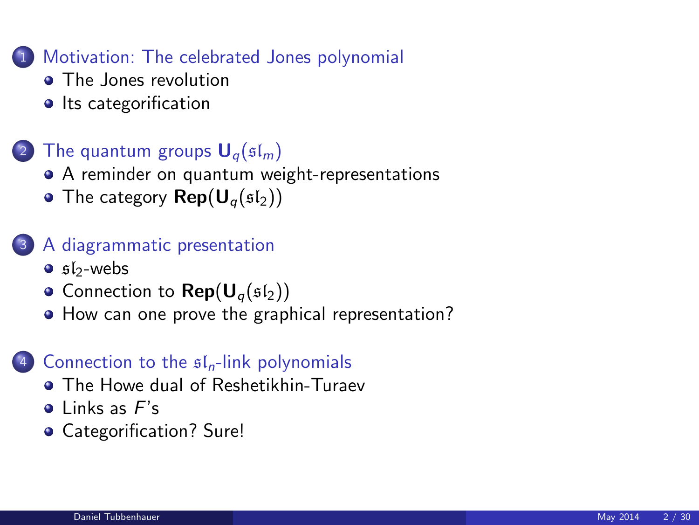#### 1 [Motivation: The celebrated Jones polynomial](#page-2-0)

- [The Jones revolution](#page-2-0)
- [Its categorification](#page-5-0)

## (2) [The quantum groups](#page-7-0)  $U_q(\mathfrak{sl}_m)$

- [A reminder on quantum weight-representations](#page-7-0)
- [The category](#page-10-0)  $\mathsf{Rep}(\mathsf{U}_{\alpha}(\mathfrak{sl}_2))$

#### 3 [A diagrammatic presentation](#page-12-0)

- $\bullet$  sl<sub>2</sub>[-webs](#page-12-0)
- [Connection to](#page-16-0)  $\mathsf{Rep}(\mathsf{U}_q(\mathfrak{sl}_2))$
- [How can one prove the graphical representation?](#page-17-0)

#### (4) [Connection to the](#page-21-0)  $\mathfrak{sl}_n$ -link polynomials

- **[The Howe dual of Reshetikhin-Turaev](#page-21-0)**
- $\bullet$  [Links as](#page-23-0)  $F's$
- [Categorification? Sure!](#page-26-0)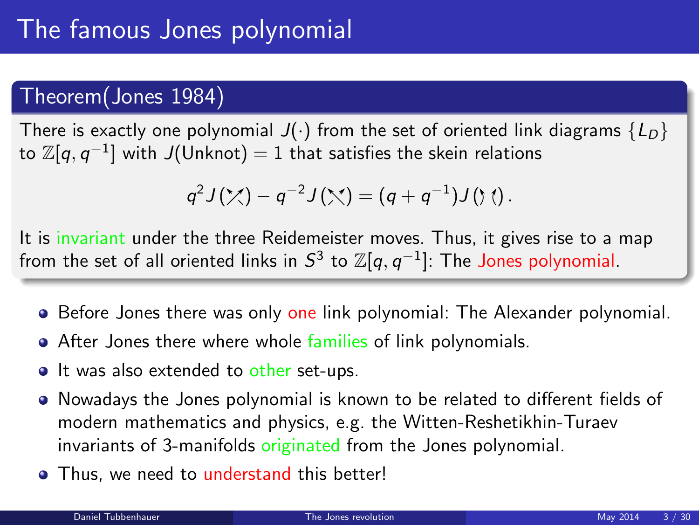## Theorem(Jones 1984)

There is exactly one polynomial  $J(\cdot)$  from the set of oriented link diagrams  $\{L_D\}$ to  $\mathbb Z[q,q^{-1}]$  with  $J($ Unknot $) = 1$  that satisfies the skein relations

<span id="page-2-0"></span>
$$
q^2 J(\mathcal{X}) - q^{-2} J(\mathcal{X}) = (q + q^{-1}) J(\mathcal{Y}) .
$$

It is invariant under the three Reidemeister moves. Thus, it gives rise to a map from the set of all oriented links in  $\mathcal{S}^3$  to  $\mathbb{Z}[q,q^{-1}]$ : The Jones polynomial.

- **Before Jones there was only one link polynomial: The Alexander polynomial.**
- After Jones there where whole families of link polynomials.
- It was also extended to other set-ups.
- Nowadays the Jones polynomial is known to be related to different fields of modern mathematics and physics, e.g. the Witten-Reshetikhin-Turaev invariants of 3-manifolds originated from the Jones polynomial.
- Thus, we need to understand this better!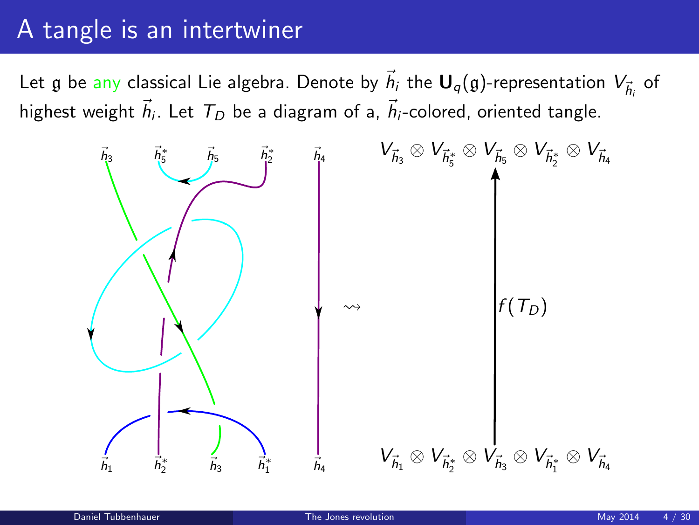## A tangle is an intertwiner

Let  $\frak g$  be any classical Lie algebra. Denote by  $\vec h_i$  the  ${\sf U}_q(\frak g)$ -representation  $V_{\vec h_i}$  of highest weight  $\vec{h}_i$ . Let  $~T_D$  be a diagram of a,  $\vec{h}_i$ -colored, oriented tangle.

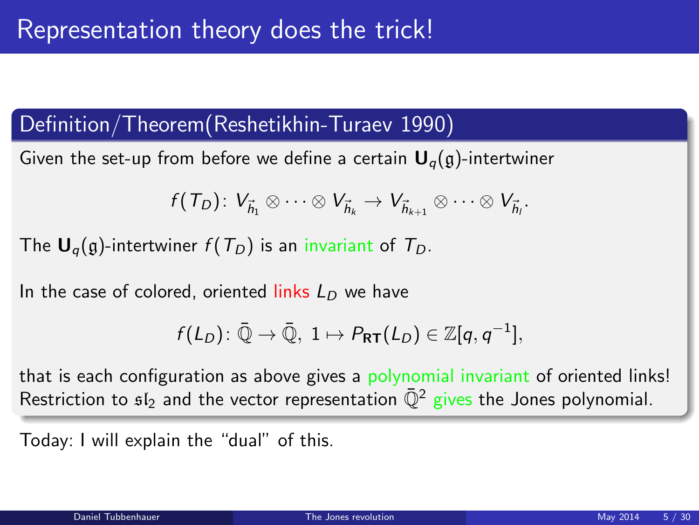## Definition/Theorem(Reshetikhin-Turaev 1990)

Given the set-up from before we define a certain  $U_q(q)$ -intertwiner

$$
f(T_D): V_{\vec{h}_1} \otimes \cdots \otimes V_{\vec{h}_k} \to V_{\vec{h}_{k+1}} \otimes \cdots \otimes V_{\vec{h}_l}.
$$

The  $U_q(g)$ -intertwiner  $f(T_D)$  is an invariant of  $T_D$ .

In the case of colored, oriented links  $L_D$  we have

$$
f(L_D): \overline{\mathbb{Q}} \to \overline{\mathbb{Q}}, \ 1 \mapsto P_{\mathsf{RT}}(L_D) \in \mathbb{Z}[q, q^{-1}],
$$

that is each configuration as above gives a polynomial invariant of oriented links! Restriction to  $s_1$  and the vector representation  $\overline{Q}^2$  gives the Jones polynomial.

Today: I will explain the "dual" of this.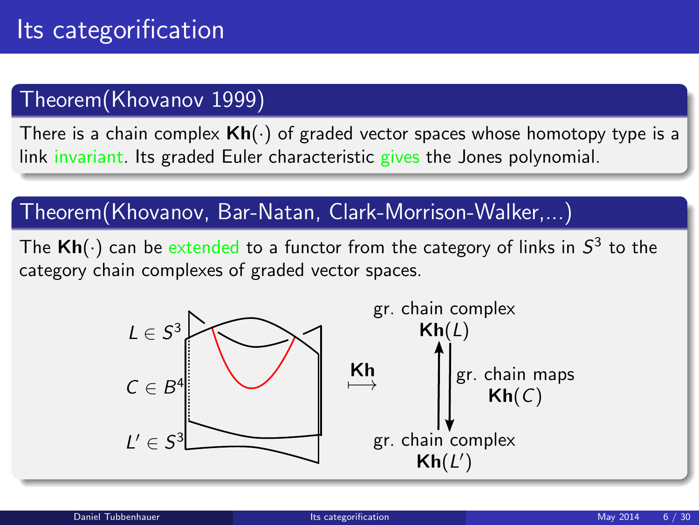## Theorem(Khovanov 1999)

There is a chain complex  $\mathsf{Kh}(\cdot)$  of graded vector spaces whose homotopy type is a link invariant. Its graded Euler characteristic gives the Jones polynomial.

## Theorem(Khovanov, Bar-Natan, Clark-Morrison-Walker,...)

The  $\mathsf{Kh}(\cdot)$  can be  $\mathsf{extended}$  to a functor from the category of links in  $\mathsf{S}^3$  to the category chain complexes of graded vector spaces.

<span id="page-5-0"></span>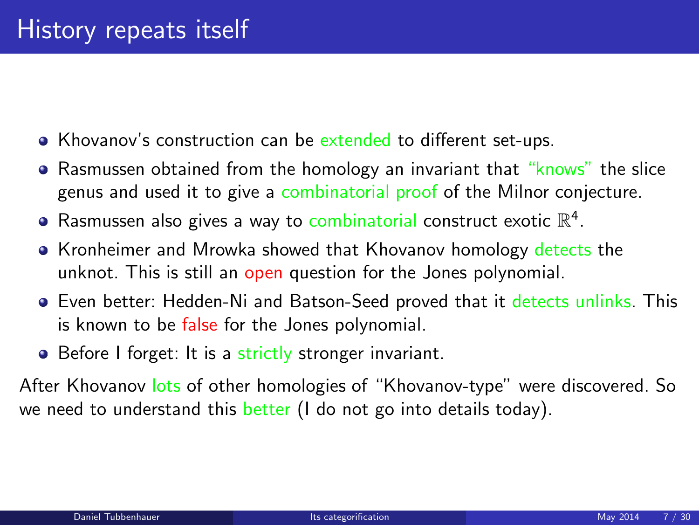- Khovanov's construction can be extended to different set-ups.
- Rasmussen obtained from the homology an invariant that "knows" the slice genus and used it to give a combinatorial proof of the Milnor conjecture.
- Rasmussen also gives a way to combinatorial construct exotic  $\mathbb{R}^4$ .
- Kronheimer and Mrowka showed that Khovanov homology detects the unknot. This is still an open question for the Jones polynomial.
- Even better: Hedden-Ni and Batson-Seed proved that it detects unlinks. This is known to be false for the Jones polynomial.
- Before I forget: It is a strictly stronger invariant.

After Khovanov lots of other homologies of "Khovanov-type" were discovered. So we need to understand this  $b$ etter (I do not go into details today).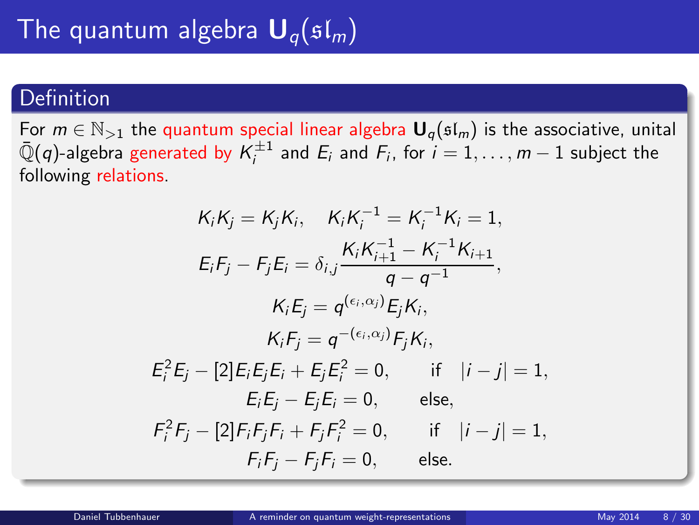### Definition

For  $m \in \mathbb{N}_{>1}$  the quantum special linear algebra  $\mathbf{U}_q(\mathfrak{sl}_m)$  is the associative, unital  $\bar{\mathbb{Q}}(q)$ -algebra generated by  $\mathcal{K}_i^{\pm 1}$  and  $E_i$  and  $F_i$ , for  $i=1,\ldots,m-1$  subject the following relations.

<span id="page-7-0"></span>
$$
K_{i}K_{j} = K_{j}K_{i}, \quad K_{i}K_{i}^{-1} = K_{i}^{-1}K_{i} = 1,
$$
\n
$$
E_{i}F_{j} - F_{j}E_{i} = \delta_{i,j} \frac{K_{i}K_{i+1}^{-1} - K_{i}^{-1}K_{i+1}}{q - q^{-1}},
$$
\n
$$
K_{i}E_{j} = q^{(\epsilon_{i},\alpha_{j})}E_{j}K_{i},
$$
\n
$$
K_{i}F_{j} = q^{-(\epsilon_{i},\alpha_{j})}F_{j}K_{i},
$$
\n
$$
E_{i}^{2}E_{j} - [2]E_{i}E_{j}E_{i} + E_{j}E_{i}^{2} = 0, \quad \text{if} \quad |i - j| = 1,
$$
\n
$$
E_{i}E_{j} - E_{j}E_{i} = 0, \quad \text{else},
$$
\n
$$
F_{i}^{2}F_{j} - [2]F_{i}F_{j}F_{i} + F_{j}F_{i}^{2} = 0, \quad \text{if} \quad |i - j| = 1,
$$
\n
$$
F_{i}F_{j} - F_{j}F_{i} = 0, \quad \text{else}.
$$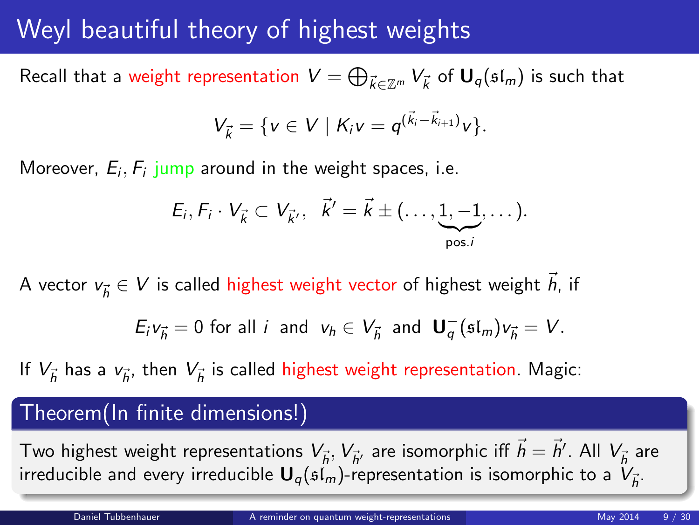## Weyl beautiful theory of highest weights

Recall that a weight representation  $V=\bigoplus_{\vec k\in\mathbb Z^m}V_{\vec k}$  of  $\mathsf{U}_q(\mathfrak{sl}_m)$  is such that

$$
V_{\vec{k}} = \{ v \in V \mid K_i v = q^{(\vec{k}_i - \vec{k}_{i+1})} v \}.
$$

Moreover,  $E_i, F_i$  jump around in the weight spaces, i.e.

$$
E_i, F_i \cdot V_{\vec{k}} \subset V_{\vec{k}'}, \quad \vec{k}' = \vec{k} \pm (\ldots, \underbrace{1, -1}_{\text{pos.}i}, \ldots).
$$

A vector  $v_{\vec{h}} \in V$  is called highest weight vector of highest weight  $\vec{h}$ , if

$$
E_i v_{\vec{h}} = 0 \text{ for all } i \text{ and } v_h \in V_{\vec{h}} \text{ and } \mathbf{U}_q^-(\mathfrak{sl}_m) v_{\vec{h}} = V.
$$

If  $V_{\vec h}$  has a  $v_{\vec h},$  then  $V_{\vec h}$  is called highest weight representation. Magic:

#### Theorem(In finite dimensions!)

Two highest weight representations  $V_{\vec h},V_{\vec h'}$  are isomorphic iff  $\vec h=\vec h'$ . All  $V_{\vec h}$  are irreducible and every irreducible  ${\sf U}_q(\mathfrak{sl}_m)$ -representation is isomorphic to a  $V_{\vec{h}}.$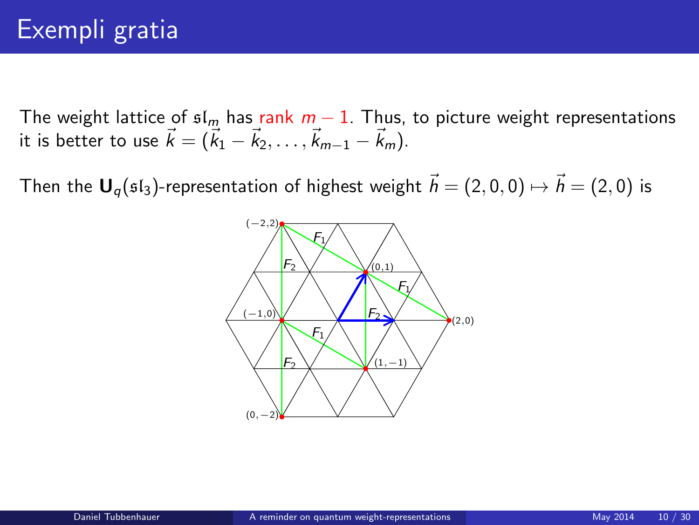The weight lattice of  $sI_m$  has rank  $m-1$ . Thus, to picture weight representations it is better to use  $\vec{k} = (\vec{k}_1 - \vec{k}_2, \dots, \vec{k}_{m-1} - \vec{k}_m)$ .

Then the  $U_q(f_3)$ -representation of highest weight  $\vec{h} = (2, 0, 0) \mapsto \vec{h} = (2, 0)$  is

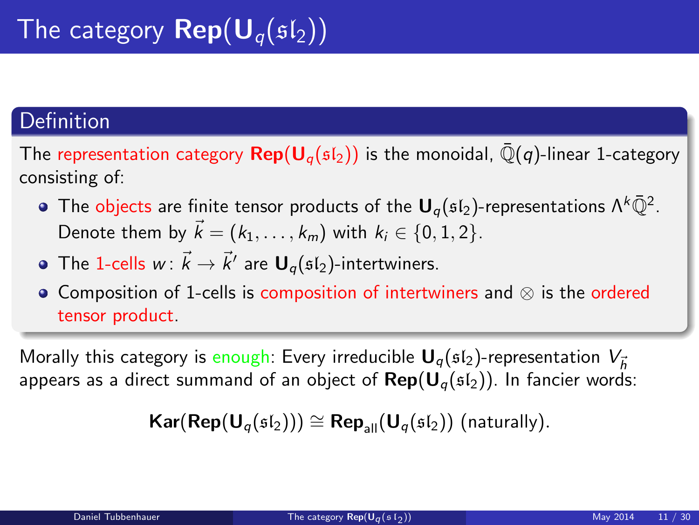## **Definition**

The representation category  $\mathbf{Rep}(\mathbf{U}_{q}(\mathfrak{sl}_{2}))$  is the monoidal,  $\overline{\mathbb{Q}}(q)$ -linear 1-category consisting of:

- The objects are finite tensor products of the  ${\mathsf U}_q(\mathfrak{sl}_2)$ -representations  $\Lambda^k\bar{\mathbb Q}^2$ . Denote them by  $\vec{k} = (k_1, \ldots, k_m)$  with  $k_i \in \{0, 1, 2\}$ .
- The 1-cells  $w\colon \vec{k}\to \vec{k}'$  are  ${\sf U}_q(\mathfrak{sl}_2)$ -intertwiners.
- Composition of 1-cells is composition of intertwiners and ⊗ is the ordered tensor product.

Morally this category is enough: Every irreducible  $U_{\alpha}(st_2)$ -representation  $V_{\vec{k}}$ appears as a direct summand of an object of  $\text{Rep}(\mathbf{U}_q(\mathfrak{sl}_2))$ . In fancier words:

<span id="page-10-0"></span> $\textsf{Kar}(\textsf{Rep}(\textsf{U}_q(\mathfrak{sl}_2))) \cong \textsf{Rep}_{\textsf{all}}(\textsf{U}_q(\mathfrak{sl}_2))$  (naturally).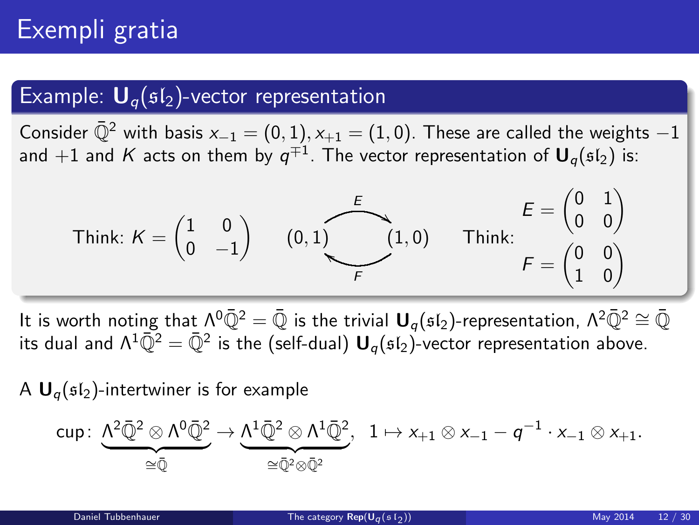# Exempli gratia

#### Example:  $U_q(sI_2)$ -vector representation

Consider  $\mathbb{Q}^2$  with basis  $x_{-1} = (0, 1), x_{+1} = (1, 0)$ . These are called the weights  $-1$ and  $+1$  and  $K$  acts on them by  $q^{\mp 1}.$  The vector representation of  $\boldsymbol{\mathsf{U}}_q(\mathfrak{sl}_2)$  is:

Think: 
$$
K = \begin{pmatrix} 1 & 0 \\ 0 & -1 \end{pmatrix}
$$
  $(0, 1)$   $\begin{matrix} E \\ (1, 0) \end{matrix}$  Think:  $\begin{matrix} E = \begin{pmatrix} 0 & 1 \\ 0 & 0 \end{pmatrix} \\ F = \begin{pmatrix} 0 & 0 \\ 1 & 0 \end{pmatrix}$ 

It is worth noting that  $\Lambda^0\bar{Q}^2 = \bar{Q}$  is the trivial  $U_q(sI_2)$ -representation,  $\Lambda^2\bar{Q}^2 \cong \bar{Q}$ its dual and  $\Lambda^1\bar{\mathbb Q}^2=\bar{\mathbb Q}^2$  is the (self-dual)  ${\sf U}_q(\mathfrak{sl}_2)$ -vector representation above.

A  $\mathbf{U}_q(\mathfrak{sl}_2)$ -intertwiner is for example

$$
\text{cup} \colon \underbrace{\Lambda^2 \bar{\mathbb{Q}}^2 \otimes \Lambda^0 \bar{\mathbb{Q}}^2}_{\cong \bar{\mathbb{Q}}} \to \underbrace{\Lambda^1 \bar{\mathbb{Q}}^2 \otimes \Lambda^1 \bar{\mathbb{Q}}^2}_{\cong \bar{\mathbb{Q}}^2 \otimes \bar{\mathbb{Q}}^2}, \ \ 1 \mapsto x_{+1} \otimes x_{-1} - q^{-1} \cdot x_{-1} \otimes x_{+1}.
$$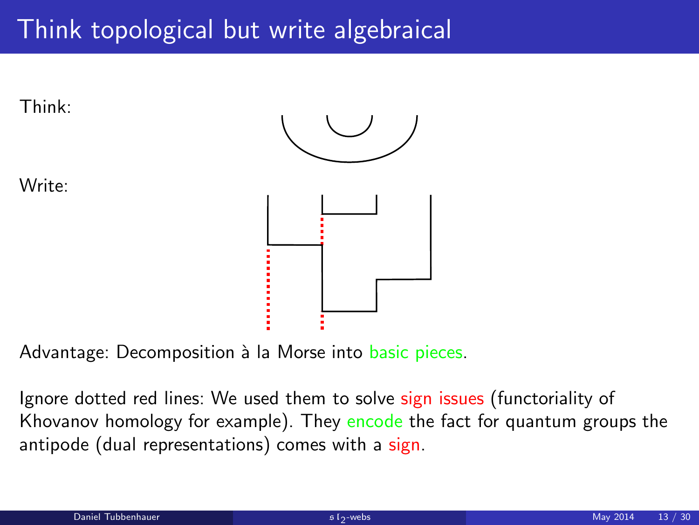# Think topological but write algebraical



Advantage: Decomposition à la Morse into basic pieces.

<span id="page-12-0"></span>Ignore dotted red lines: We used them to solve sign issues (functoriality of Khovanov homology for example). They encode the fact for quantum groups the antipode (dual representations) comes with a sign.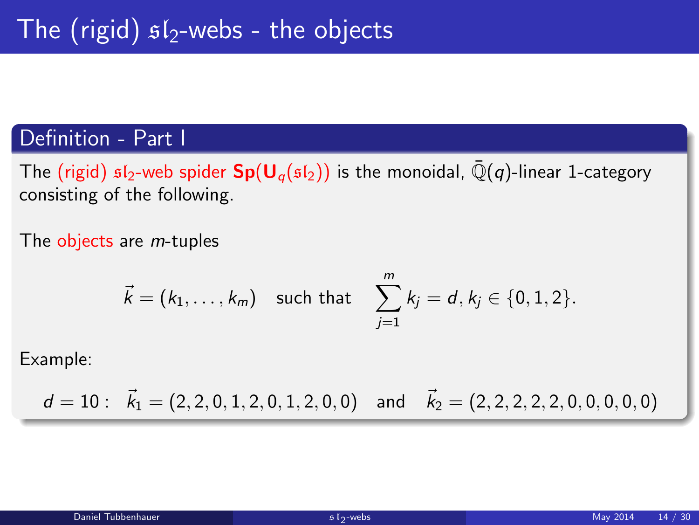#### Definition - Part I

The (rigid)  $sI_2$ -web spider  $Sp(U_q(sI_2))$  is the monoidal,  $\overline{Q}(q)$ -linear 1-category consisting of the following.

The objects are *m*-tuples

$$
\vec{k} = (k_1, ..., k_m)
$$
 such that  $\sum_{j=1}^{m} k_j = d, k_j \in \{0, 1, 2\}.$ 

Example:

 $d = 10$ :  $\vec{k}_1 = (2, 2, 0, 1, 2, 0, 1, 2, 0, 0)$  and  $\vec{k}_2 = (2, 2, 2, 2, 2, 0, 0, 0, 0, 0)$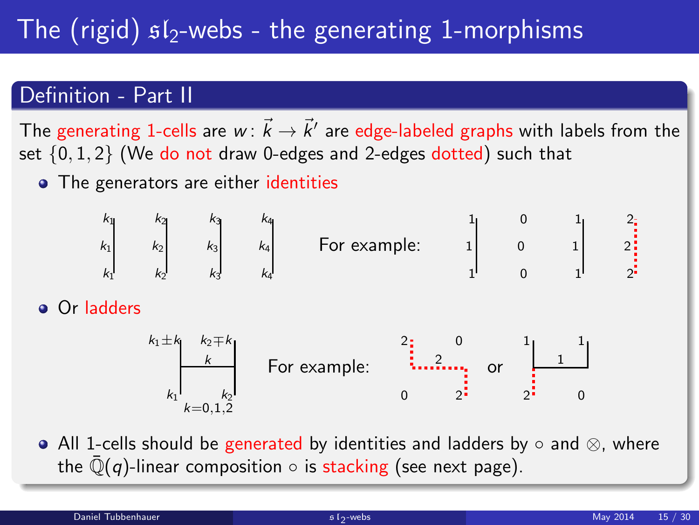# The (rigid)  $sI_2$ -webs - the generating 1-morphisms

### Definition - Part II

The generating 1-cells are  $w\colon \vec{k}\to \vec{k}'$  are edge-labeled graphs with labels from the set {0, 1, 2} (We do not draw 0-edges and 2-edges dotted) such that

• The generators are either identities



**•** Or ladders



All 1-cells should be generated by identities and ladders by  $\circ$  and  $\otimes$ , where the  $\mathbb{Q}(q)$ -linear composition  $\circ$  is stacking (see next page).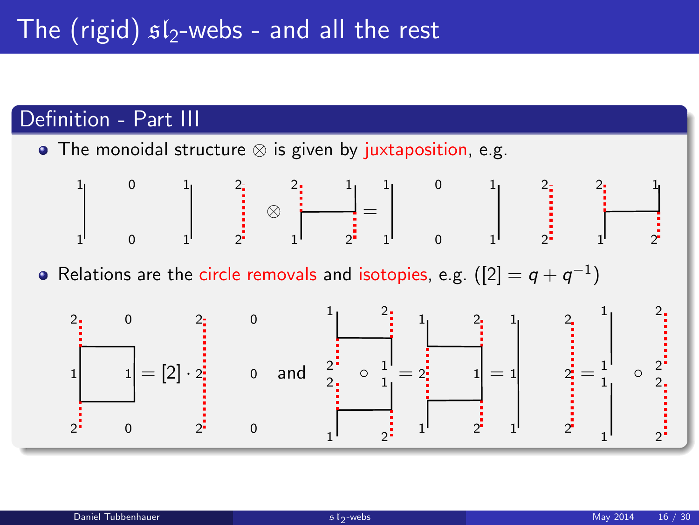## Definition - Part III

The monoidal structure ⊗ is given by juxtaposition, e.g.



Relations are the circle removals and isotopies, e.g.  $([2]=\mathsf{q}+\mathsf{q}^{-1})$ 

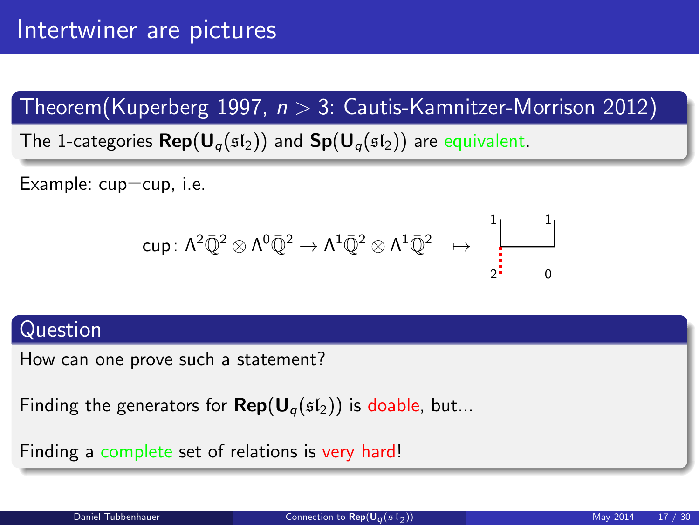Theorem(Kuperberg 1997,  $n > 3$ : Cautis-Kamnitzer-Morrison 2012)

The 1-categories  $\mathsf{Rep}(\mathsf{U}_{q}(\mathfrak{sl}_2))$  and  $\mathsf{Sp}(\mathsf{U}_{q}(\mathfrak{sl}_2))$  are equivalent.

Example: cup=cup, i.e.

<span id="page-16-0"></span>
$$
\text{cup} \colon \Lambda^2\bar{\mathbb{Q}}^2\otimes\Lambda^0\bar{\mathbb{Q}}^2\to\Lambda^1\bar{\mathbb{Q}}^2\otimes\Lambda^1\bar{\mathbb{Q}}^2\;\;\mapsto\;\;\prod_{2^\sharp=0}^{\,1\,}
$$

#### Question

How can one prove such a statement?

```
Finding the generators for \mathsf{Rep}(\mathsf{U}_q(\mathfrak{sl}_2)) is doable, but...
```
Finding a complete set of relations is very hard!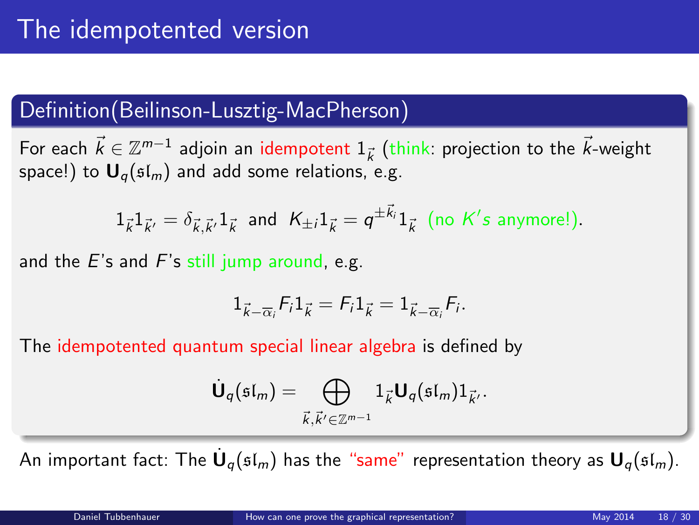## Definition(Beilinson-Lusztig-MacPherson)

For each  $\vec{k} \in \mathbb{Z}^{m-1}$  adjoin an idempotent  $1_{\vec{k}}$  (think: projection to the  $\vec{k}$ -weight space!) to  $\mathbf{U}_q(\mathfrak{sl}_m)$  and add some relations, e.g.

 $1_{\vec{k}}1_{\vec{k}'}=\delta_{\vec{k},\vec{k}'}1_{\vec{k}}$  and  $K_{\pm i}1_{\vec{k}}=q^{\pm \vec{k}_i}1_{\vec{k}}$  (no  $K's$  anymore!).

and the  $E$ 's and  $F$ 's still jump around, e.g.

$$
1_{\vec{k}-\overline{\alpha}_i}F_i1_{\vec{k}}=F_i1_{\vec{k}}=1_{\vec{k}-\overline{\alpha}_i}F_i.
$$

The idempotented quantum special linear algebra is defined by

<span id="page-17-0"></span>
$$
\dot{\mathbf{U}}_q(\mathfrak{sl}_m)=\bigoplus_{\vec{k},\vec{k}'\in\mathbb{Z}^{m-1}}1_{\vec{k}}\mathbf{U}_q(\mathfrak{sl}_m)1_{\vec{k}'}.
$$

An important fact: The  $\dot{\textbf U}_q(\mathfrak{sl}_m)$  has the "same" representation theory as  $\textbf U_q(\mathfrak{sl}_m)$ .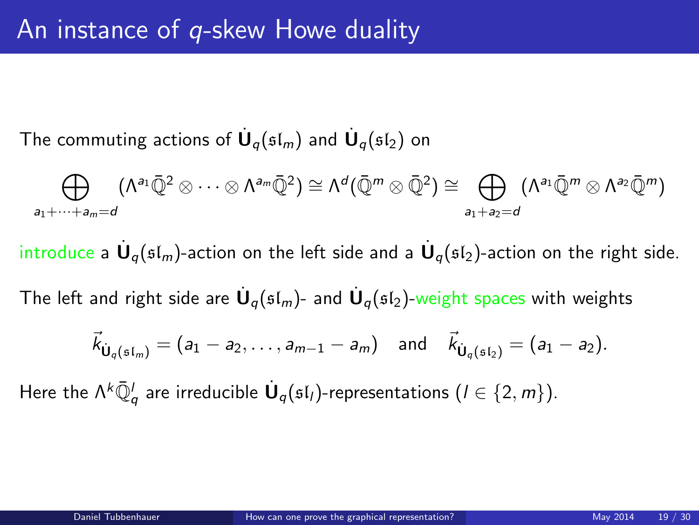The commuting actions of  $\dot{\mathsf{U}}_q(\mathfrak{sl}_m)$  and  $\dot{\mathsf{U}}_q(\mathfrak{sl}_2)$  on

$$
\bigoplus_{a_1+\dots+a_m=d}(\Lambda^{a_1}\bar{\mathbb{Q}}^2\otimes\dots\otimes\Lambda^{a_m}\bar{\mathbb{Q}}^2)\cong\Lambda^d(\bar{\mathbb{Q}}^m\otimes\bar{\mathbb{Q}}^2)\cong\bigoplus_{a_1+a_2=d}(\Lambda^{a_1}\bar{\mathbb{Q}}^m\otimes\Lambda^{a_2}\bar{\mathbb{Q}}^m)
$$

introduce a  $\dot{\mathsf{U}}_q(\mathfrak{sl}_m)$ -action on the left side and a  $\dot{\mathsf{U}}_q(\mathfrak{sl}_2)$ -action on the right side.

The left and right side are  $\dot{\mathsf{U}}_q(\mathfrak{sl}_m)$ - and  $\dot{\mathsf{U}}_q(\mathfrak{sl}_2)$ -weight spaces with weights

$$
\vec{k}_{\dot{\mathbf{U}}_q(\mathfrak{sl}_m)} = (a_1 - a_2, \ldots, a_{m-1} - a_m)
$$
 and  $\vec{k}_{\dot{\mathbf{U}}_q(\mathfrak{sl}_2)} = (a_1 - a_2)$ .

Here the  $\Lambda^k {\bar{\Bbb Q}}^l_q$  are irreducible  $\dot{{\bf U}}_q(\frak{sl}_l)$ -representations  $(l\in \{2,m\}).$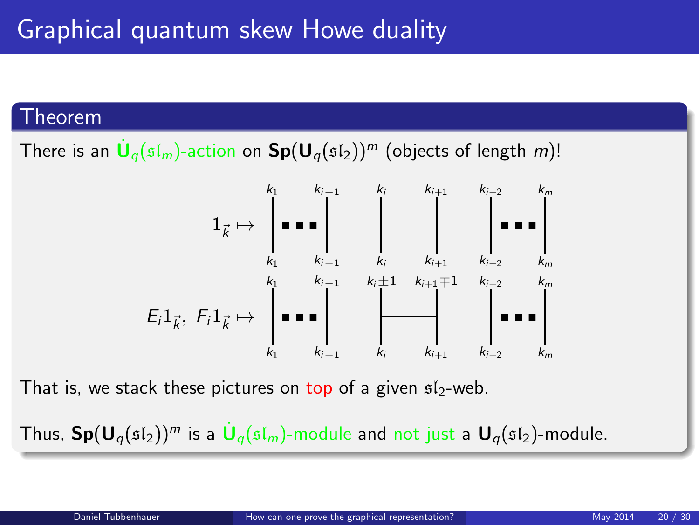#### Theorem

There is an  $\dot{\mathsf{U}}_q(\mathfrak{sl}_m)$ -action on  $\mathsf{Sp}(\mathsf{U}_q(\mathfrak{sl}_2))^m$  (objects of length  $m)!$ 



That is, we stack these pictures on top of a given  $s1_2$ -web.

Thus,  $\mathsf{Sp}(\mathsf{U}_q(\mathfrak{sl}_2))^m$  is a  $\dot{\mathsf{U}}_q(\mathfrak{sl}_m)$ -module and not just a  $\mathsf{U}_q(\mathfrak{sl}_2)$ -module.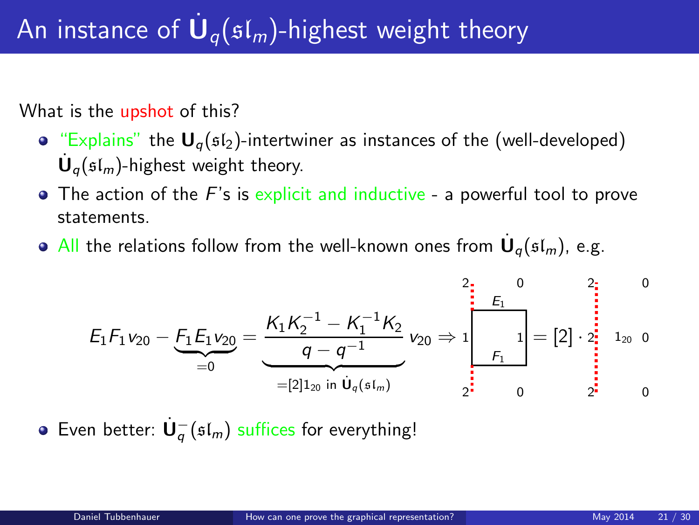# An instance of  $\dot{\mathbf U}_q(\mathfrak{sl}_m)$ -highest weight theory

What is the upshot of this?

- "Explains" the  $U_q(sI_2)$ -intertwiner as instances of the (well-developed)  $\dot{\mathbf{U}}_q(\mathfrak{sl}_m)$ -highest weight theory.
- $\bullet$  The action of the F's is explicit and inductive a powerful tool to prove statements.
- All the relations follow from the well-known ones from  $\dot{\mathbf{U}}_q(\mathfrak{sl}_m)$ , e.g.

$$
E_1F_1v_{20}-E_1E_1v_{20}=\underbrace{\frac{K_1K_2^{-1}-K_1^{-1}K_2}{q-q^{-1}}}_{=[2]_{1_{20}}}\cdot v_{20}\Rightarrow 1\begin{bmatrix}0&2\\E_1\\E_1\\F_1\end{bmatrix}=[2]\cdot \begin{bmatrix}0&2\\2\\2\end{bmatrix}^{1}_{2_{20}}\cdot 0\\1_{20}\cdot 0\\0&0\end{bmatrix}
$$

Even better:  $\dot{\mathbf{U}}_q^-(\mathfrak{sl}_m)$  suffices for everything!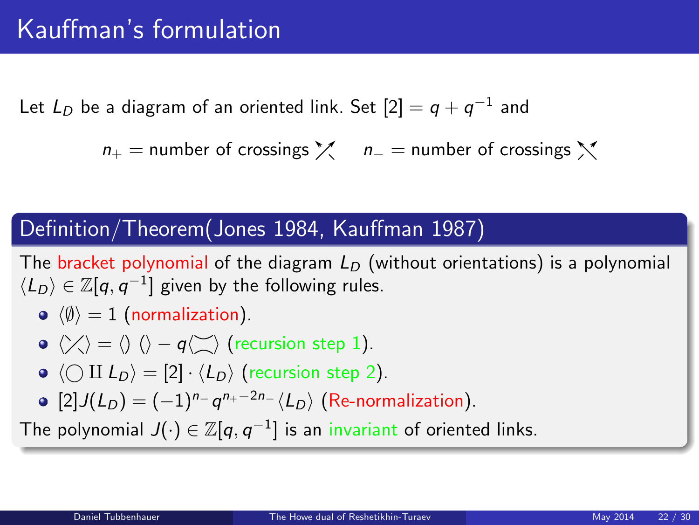Let  $L_D$  be a diagram of an oriented link. Set  $[2]=q+q^{-1}$  and

 $n_{+}$  = number of crossings  $\chi$  n<sub>−</sub> = number of crossings  $\chi$ 

#### Definition/Theorem(Jones 1984, Kauffman 1987)

The bracket polynomial of the diagram  $L<sub>D</sub>$  (without orientations) is a polynomial  $\langle L_D \rangle \in \mathbb{Z}[q,q^{-1}]$  given by the following rules.

 $\langle \emptyset \rangle = 1$  (normalization).

• 
$$
\langle \rangle \langle \rangle = \langle \rangle
$$
  $\langle \rangle - q \langle \rangle$  (recursion step 1).

- $\bullet \langle \bigcirc \amalg L_D \rangle = [2] \cdot \langle L_D \rangle$  (recursion step 2).
- <span id="page-21-0"></span> $[2]J(L_D) = (-1)^{n_{-}} q^{n_{+}-2n_{-}} \langle L_D \rangle$  (Re-normalization).

The polynomial  $J(\cdot)\in \mathbb{Z}[q,q^{-1}]$  is an invariant of oriented links.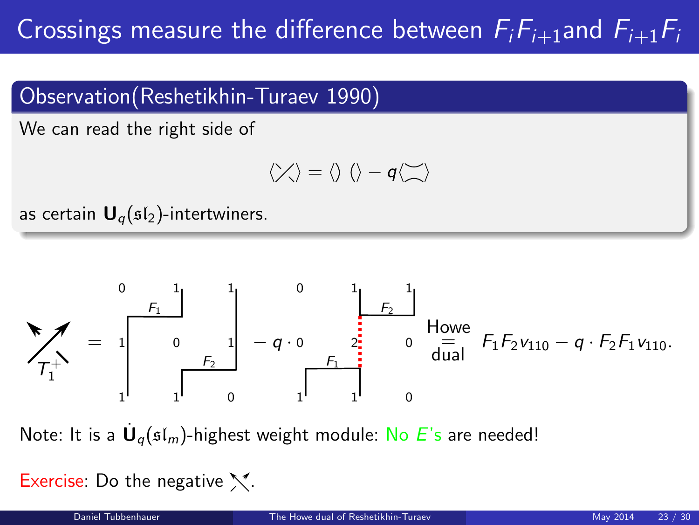# Crossings measure the difference between  $F_iF_{i+1}$ and  $F_{i+1}F_i$

## Observation(Reshetikhin-Turaev 1990)

We can read the right side of

$$
\langle \nearrow \rangle = \langle \rangle \ \langle \rangle - q \langle \searrow \rangle
$$

as certain  $\mathbf{U}_q(\mathfrak{sl}_2)$ -intertwiners.



Note: It is a  $\dot{\mathsf{U}}_q(\mathfrak{sl}_m)$ -highest weight module: No  $E$ 's are needed!

Exercise: Do the negative  $\mathcal{N}$ .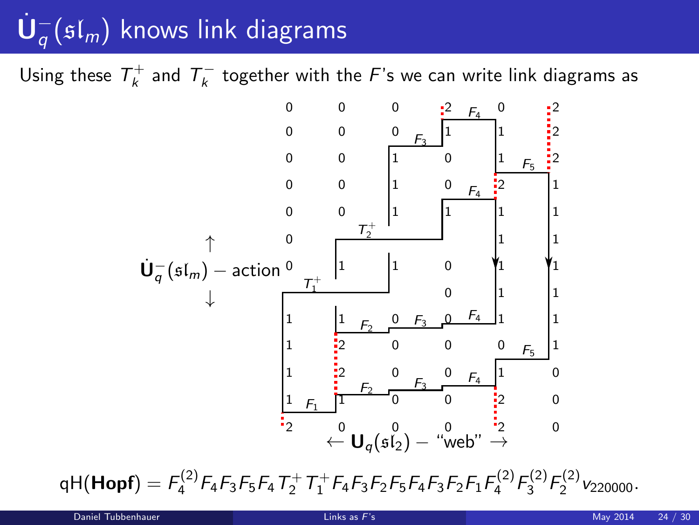# $\dot{\mathsf{U}}_q^-(\mathfrak{sl}_m)$  knows link diagrams

Using these  $\mathcal{T}^+_k$  and  $\mathcal{T}^-_k$  together with the  $F$ 's we can write link diagrams as



<span id="page-23-0"></span> $\mathsf{qH}(\mathsf{Hopf})= \mathsf{F}_4^{(2)} \mathsf{F}_4 \mathsf{F}_3 \mathsf{F}_5 \mathsf{F}_4 \mathsf{T}_2^+ \mathsf{T}_1^+ \mathsf{F}_4 \mathsf{F}_3 \mathsf{F}_2 \mathsf{F}_5 \mathsf{F}_4 \mathsf{F}_3 \mathsf{F}_2 \mathsf{F}_1 \mathsf{F}_4^{(2)} \mathsf{F}_3^{(2)} \mathsf{F}_2^{(2)} \mathsf{v}_{220000}.$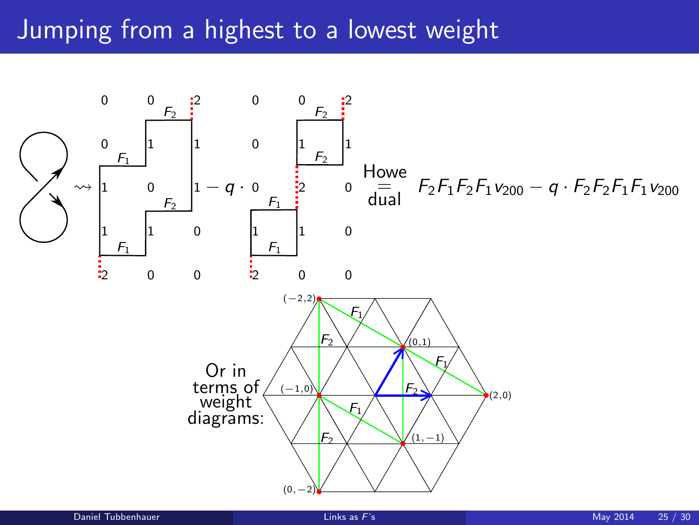# Jumping from a highest to a lowest weight

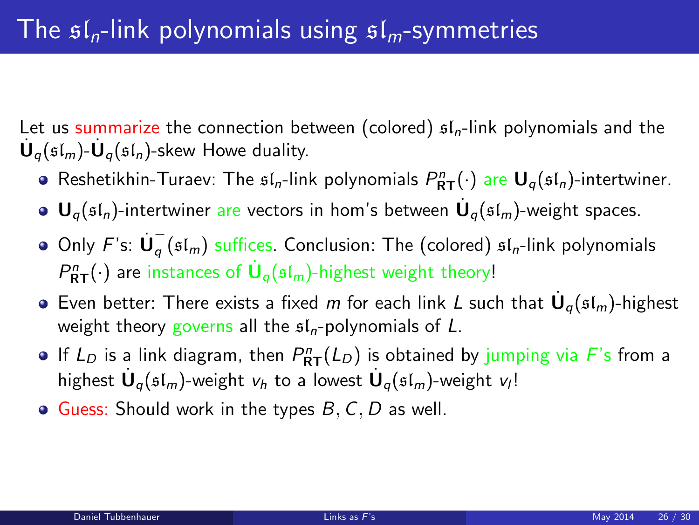Let us summarize the connection between (colored)  $sI_n$ -link polynomials and the  $\dot{\mathbf U}_q(\mathfrak{sl}_m)$ - $\dot{\mathbf U}_q(\mathfrak{sl}_n)$ -skew Howe duality.

- Reshetikhin-Turaev: The  $\mathfrak{sl}_n$ -link polynomials  $P^n_{\mathsf{RT}}(\cdot)$  are  $\mathsf{U}_q(\mathfrak{sl}_n)$ -intertwiner.
- ${\mathbf U}_q(\mathfrak{sl}_n)$ -intertwiner are vectors in hom's between  $\dot{{\mathbf U}}_q(\mathfrak{sl}_m)$ -weight spaces.
- Only  $F$ 's:  $\dot{\mathbf{U}}_q^ _{q}$  ( $\mathfrak{sl}_{m}$ ) suffices. Conclusion: The (colored)  $\mathfrak{sl}_{n}$ -link polynomials  $P^n_{\mathsf{RT}}(\cdot)$  are instances of  $\dot{\mathsf{U}}_q(\mathfrak{sl}_m)$ -highest weight theory!
- Even better: There exists a fixed m for each link L such that  $\dot{\mathbf{U}}_q(\mathfrak{sl}_m)$ -highest weight theory governs all the  $sI_n$ -polynomials of L.
- If  $L_D$  is a link diagram, then  $P^n_{\mathsf{RT}}(L_D)$  is obtained by jumping via F's from a highest  $\dot{\mathbf U}_q(\mathfrak{sl}_m)$ -weight  $v_h$  to a lowest  $\dot{\mathbf U}_q(\mathfrak{sl}_m)$ -weight  $v_l!$
- $\bullet$  Guess: Should work in the types  $B, C, D$  as well.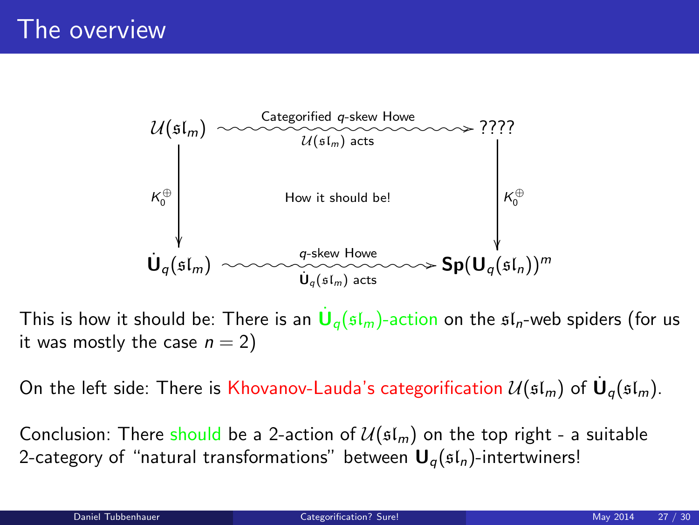

This is how it should be: There is an  $\dot{\mathsf{U}}_q(\mathfrak{sl}_m)$ -action on the  $\mathfrak{sl}_n$ -web spiders (for us it was mostly the case  $n = 2$ )

On the left side: There is Khovanov-Lauda's categorification  $\mathcal{U}(\mathfrak{sl}_m)$  of  $\dot{\mathbf{U}}_q(\mathfrak{sl}_m)$ .

<span id="page-26-0"></span>Conclusion: There should be a 2-action of  $\mathcal{U}(\mathfrak{sl}_m)$  on the top right - a suitable 2-category of "natural transformations" between  $U_q(sI_n)$ -intertwiners!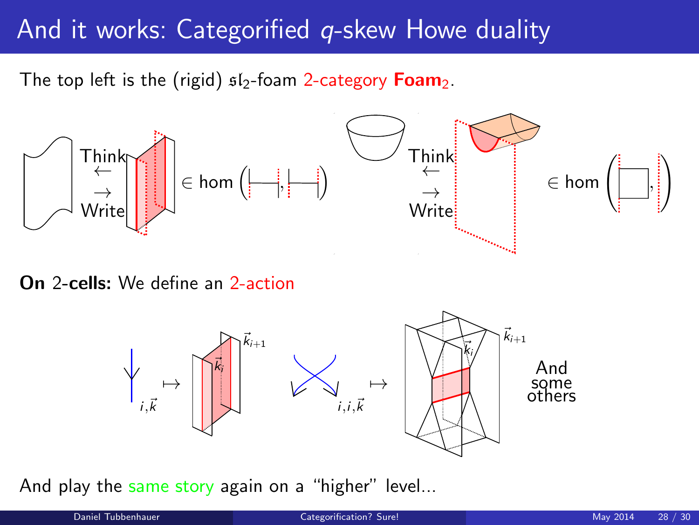## And it works: Categorified *q*-skew Howe duality

The top left is the (rigid)  $sI_2$ -foam 2-category **Foam**<sub>2</sub>.



On 2-cells: We define an 2-action



And play the same story again on a "higher" level...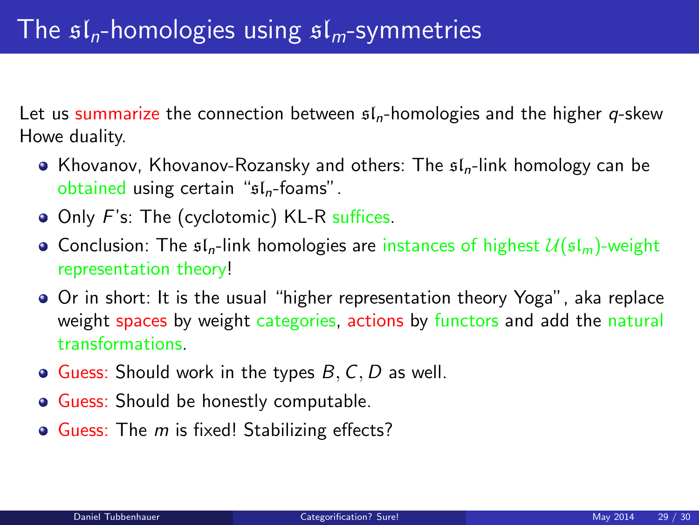Let us summarize the connection between  $f_n$ -homologies and the higher q-skew Howe duality.

- Khovanov, Khovanov-Rozansky and others: The  $\mathfrak{sl}_n$ -link homology can be obtained using certain " $sI_n$ -foams".
- Only F's: The (cyclotomic) KL-R suffices.
- Conclusion: The  $\mathfrak{sl}_n$ -link homologies are instances of highest  $\mathcal{U}(\mathfrak{sl}_m)$ -weight representation theory!
- Or in short: It is the usual "higher representation theory Yoga", aka replace weight spaces by weight categories, actions by functors and add the natural transformations.
- $\bullet$  Guess: Should work in the types  $B, C, D$  as well.
- Guess: Should be honestly computable.
- Guess: The *m* is fixed! Stabilizing effects?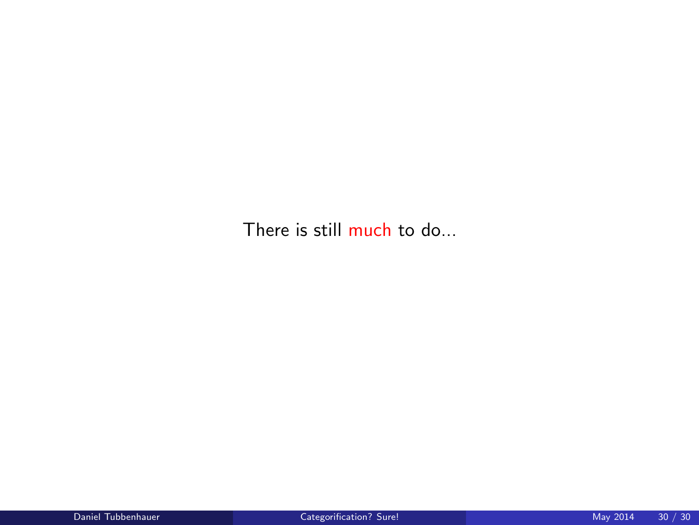There is still much to do...